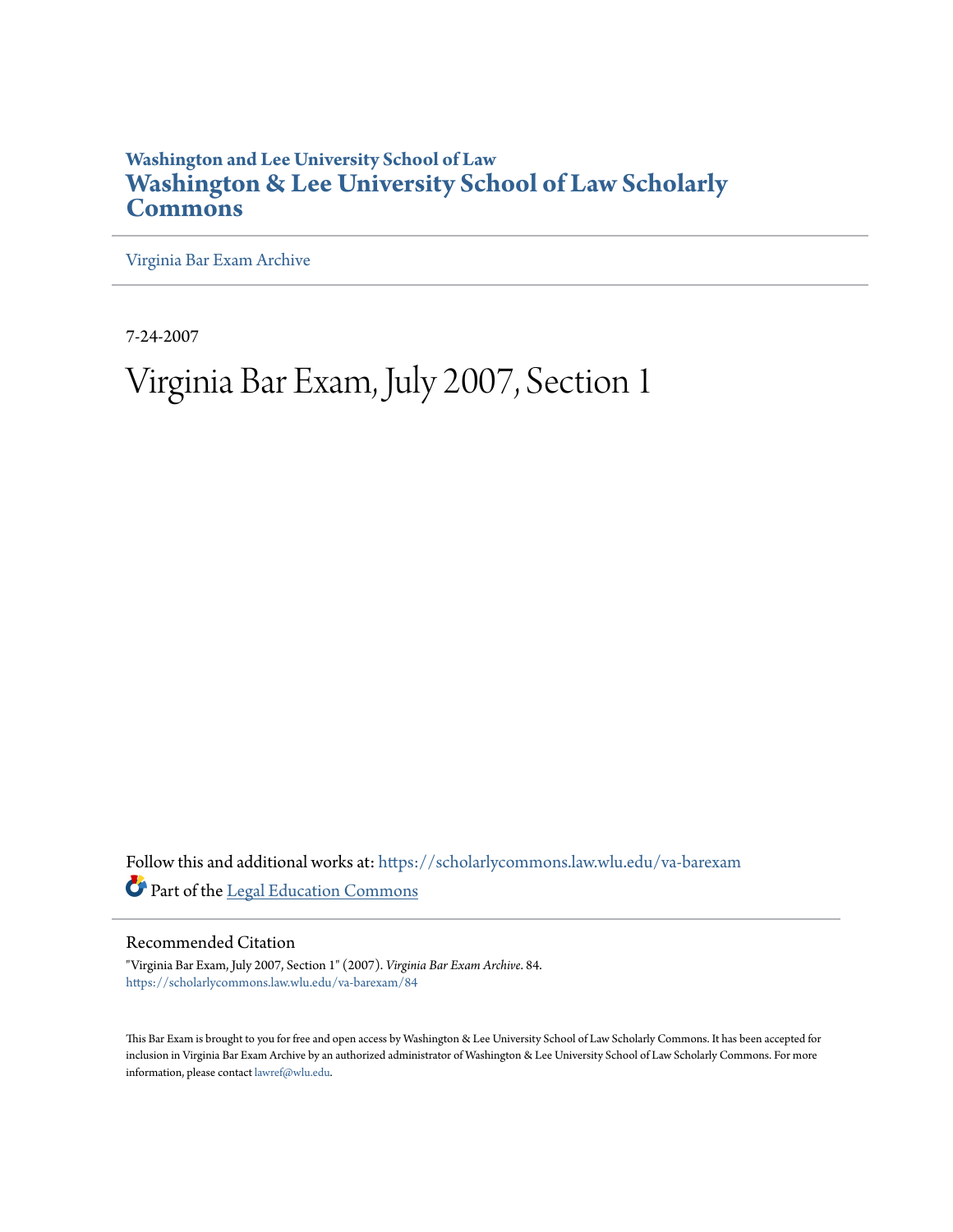# **Washington and Lee University School of Law [Washington & Lee University School of Law Scholarly](https://scholarlycommons.law.wlu.edu?utm_source=scholarlycommons.law.wlu.edu%2Fva-barexam%2F84&utm_medium=PDF&utm_campaign=PDFCoverPages) [Commons](https://scholarlycommons.law.wlu.edu?utm_source=scholarlycommons.law.wlu.edu%2Fva-barexam%2F84&utm_medium=PDF&utm_campaign=PDFCoverPages)**

[Virginia Bar Exam Archive](https://scholarlycommons.law.wlu.edu/va-barexam?utm_source=scholarlycommons.law.wlu.edu%2Fva-barexam%2F84&utm_medium=PDF&utm_campaign=PDFCoverPages)

7-24-2007

# Virginia Bar Exam, July 2007, Section 1

Follow this and additional works at: [https://scholarlycommons.law.wlu.edu/va-barexam](https://scholarlycommons.law.wlu.edu/va-barexam?utm_source=scholarlycommons.law.wlu.edu%2Fva-barexam%2F84&utm_medium=PDF&utm_campaign=PDFCoverPages) Part of the [Legal Education Commons](http://network.bepress.com/hgg/discipline/857?utm_source=scholarlycommons.law.wlu.edu%2Fva-barexam%2F84&utm_medium=PDF&utm_campaign=PDFCoverPages)

Recommended Citation

"Virginia Bar Exam, July 2007, Section 1" (2007). *Virginia Bar Exam Archive*. 84. [https://scholarlycommons.law.wlu.edu/va-barexam/84](https://scholarlycommons.law.wlu.edu/va-barexam/84?utm_source=scholarlycommons.law.wlu.edu%2Fva-barexam%2F84&utm_medium=PDF&utm_campaign=PDFCoverPages)

This Bar Exam is brought to you for free and open access by Washington & Lee University School of Law Scholarly Commons. It has been accepted for inclusion in Virginia Bar Exam Archive by an authorized administrator of Washington & Lee University School of Law Scholarly Commons. For more information, please contact [lawref@wlu.edu](mailto:lawref@wlu.edu).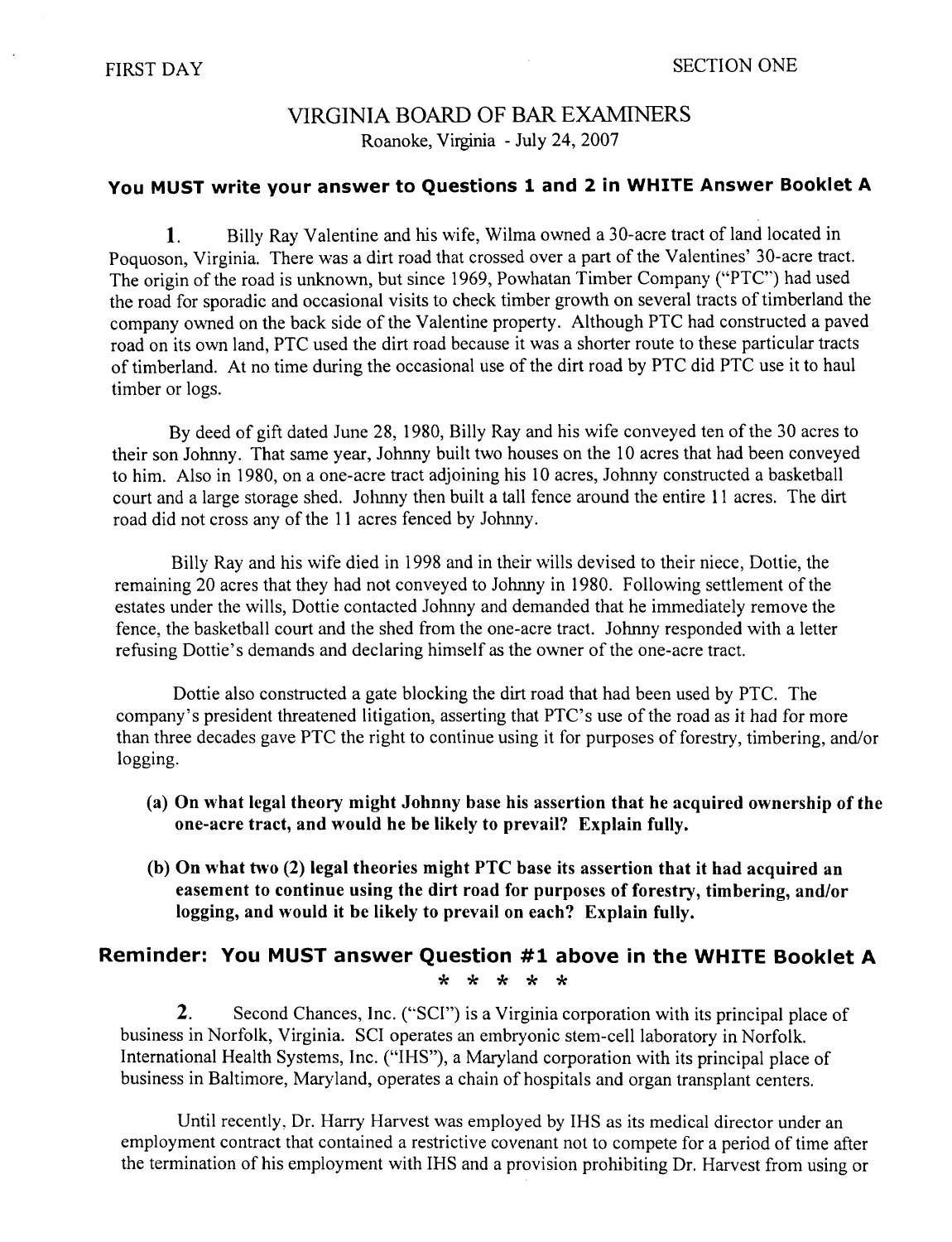# VIRGINIA BOARD OF BAR EXAMINERS Roanoke, Virginia - July 24, 2007

#### **You MUST write your answer to Questions 1 and 2 in WHITE Answer Booklet A**

**1.** Billy Ray Valentine and his wife, Wilma owned a 30-acre tract of land located in Poquoson, Virginia. There was a dirt road that crossed over a part of the Valentines' 30-acre tract. The origin of the road is unknown, but since 1969, Powhatan Timber Company ('"PTC") had used the road for sporadic and occasional visits to check timber growth on several tracts of timberland the company owned on the back side of the Valentine property. Although PTC had constructed a paved road on its own land, PTC used the dirt road because it was a shorter route to these particular tracts of timberland. At no time during the occasional use of the dirt road by PTC did PTC use it to haul timber or logs.

By deed of gift dated June 28, 1980, Billy Ray and his wife conveyed ten of the 30 acres to their son Johnny. That same year, Johnny built two houses on the 10 acres that had been conveyed to him. Also in 1980, on a one-acre tract adjoining his 10 acres, Johnny constructed a basketball court and a large storage shed. Johnny then built a tall fence around the entire 11 acres. The dirt road did not cross any of the 11 acres fenced by Johnny.

Billy Ray and his wife died in 1998 and in their wills devised to their niece, Dottie, the remaining 20 acres that they had not conveyed to Johnny in 1980. Following settlement of the estates under the wills, Dottie contacted Johnny and demanded that he immediately remove the fence, the basketball court and the shed from the one-acre tract. Johnny responded with a letter refusing Dottie's demands and declaring himself as the owner of the one-acre tract.

Dottie also constructed a gate blocking the dirt road that had been used by PTC. The company's president threatened litigation, asserting that PTC's use of the road as it had for more than three decades gave PTC the right to continue using it for purposes of forestry, timbering, and/or logging.

- (a) On what legal theory might Johnny base his assertion that he acquired ownership of the one-acre tract, and would he be likely to prevail? Explain fully.
- (b) On what two (2) legal theories might PTC base its assertion that it had acquired an easement to continue using the dirt road for purposes of forestry, timbering, and/or logging, and would it be likely to prevail on each? Explain fully.

# **Reminder: You MUST answer Question #1 above in the WHITE Booklet A**  \* \* \* \* \*

2. Second Chances, Inc. ("SCI") is a Virginia corporation with its principal place of business in Norfolk, Virginia. SCI operates an embryonic stem-cell laboratory in Norfolk. International Health Systems, Inc. ("IHS"), a Maryland corporation with its principal place of business in Baltimore, Maryland, operates a chain of hospitals and organ transplant centers.

Until recently, Dr. Harry Harvest was employed by IHS as its medical director under an employment contract that contained a restrictive covenant not to compete for a period of time after the termination of his employment with IHS and a provision prohibiting Dr. Harvest from using or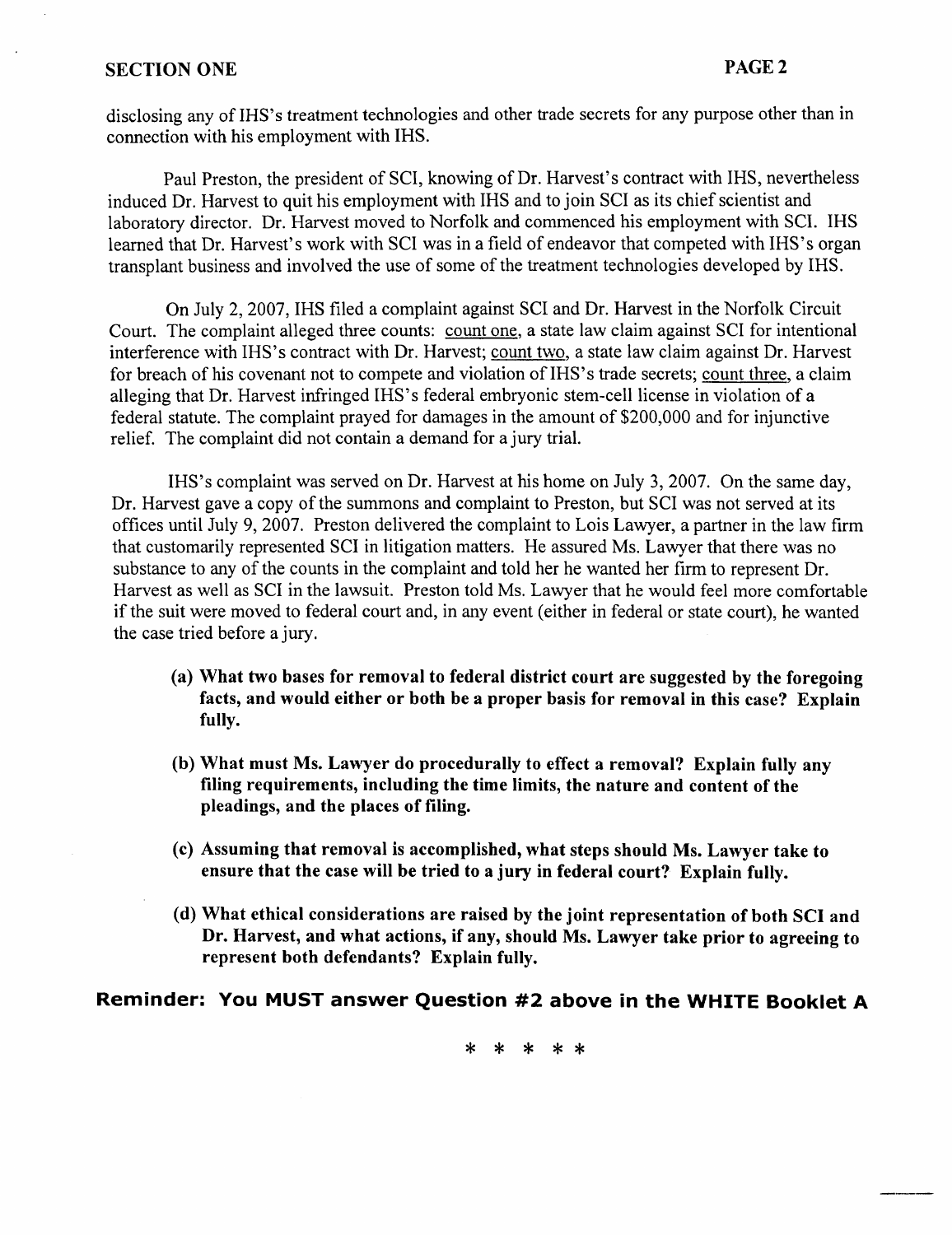#### SECTION ONE PAGE 2

disclosing any of IHS's treatment technologies and other trade secrets for any purpose other than in connection with his employment with IHS.

Paul Preston, the president of SCI, knowing of Dr. Harvest's contract with IHS, nevertheless induced Dr. Harvest to quit his employment with IHS and to join SCI as its chief scientist and laboratory director. Dr. Harvest moved to Norfolk and commenced his employment with SCI. IHS learned that Dr. Harvest's work with SCI was in a field of endeavor that competed with IHS's organ transplant business and involved the use of some of the treatment technologies developed by IHS.

On July 2, 2007, IHS filed a complaint against SCI and Dr. Harvest in the Norfolk Circuit Court. The complaint alleged three counts: count one, a state law claim against SCI for intentional interference with IHS's contract with Dr. Harvest; count two, a state law claim against Dr. Harvest for breach of his covenant not to compete and violation of IHS's trade secrets; count three, a claim alleging that Dr. Harvest infringed IHS's federal embryonic stem-cell license in violation of a federal statute. The complaint prayed for damages in the amount of \$200,000 and for injunctive relief. The complaint did not contain a demand for a jury trial.

IHS's complaint was served on Dr. Harvest at his home on July 3, 2007. On the same day, Dr. Harvest gave a copy of the summons and complaint to Preston, but SCI was not served at its offices until July 9, 2007. Preston delivered the complaint to Lois Lawyer, a partner in the law firm that customarily represented SCI in litigation matters. He assured Ms. Lawyer that there was no substance to any of the counts in the complaint and told her he wanted her firm to represent Dr. Harvest as well as SCI in the lawsuit. Preston told Ms. Lawyer that he would feel more comfortable if the suit were moved to federal court and, in any event (either in federal or state court), he wanted the case tried before a jury.

- (a) What two bases for removal to federal district court are suggested by the foregoing facts, and would either or both be a proper basis for removal in this case? Explain fully.
- (b) What must Ms. Lawyer do procedurally to effect a removal? Explain fully any filing requirements, including the time limits, the nature and content of the pleadings, and the places of filing.
- (c) Assuming that removal is accomplished, what steps should Ms. Lawyer take to ensure that the case will be tried to a jury in federal court? Explain fully.
- (d) What ethical considerations are raised by the joint representation of both SCI and Dr. Harvest, and what actions, if any, should Ms. Lawyer take prior to agreeing to represent both defendants? Explain fully.

# **Reminder: You MUST answer Question #2 above in the WHITE Booklet A**

\* \* \* \* \*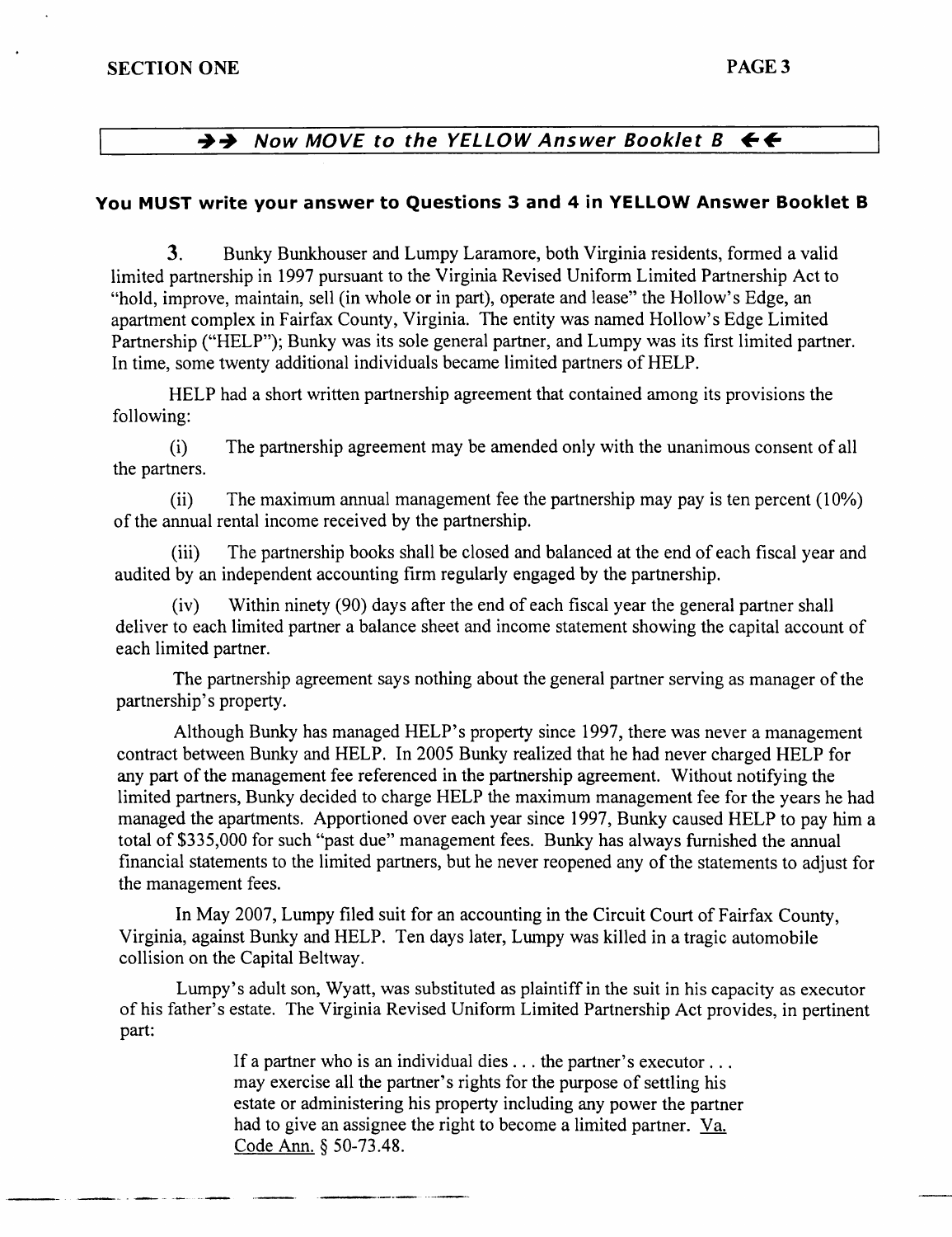# $\rightarrow$  **Now MOVE to the YELLOW Answer Booklet B**  $\leftarrow$

#### **You MUST write your answer to Questions 3 and 4 in YELLOW Answer Booklet B**

**3.** Bunky Bunkhouser and Lumpy Laramore, both Virginia residents, formed a valid limited partnership in 1997 pursuant to the Virginia Revised Uniform Limited Partnership Act to "hold, improve, maintain, sell (in whole or in part), operate and lease" the Hollow's Edge, an apartment complex in Fairfax County, Virginia. The entity was named Hollow's Edge Limited Partnership ("HELP"); Bunky was its sole general partner, and Lumpy was its first limited partner. In time, some twenty additional individuals became limited partners of HELP.

HELP had a short written partnership agreement that contained among its provisions the following:

(i) The partnership agreement may be amended only with the unanimous consent of all the partners.

(ii) The maximum annual management fee the partnership may pay is ten percent ( 10%) of the annual rental income received by the partnership.

(iii) The partnership books shall be closed and balanced at the end of each fiscal year and audited by an independent accounting firm regularly engaged by the partnership.

(iv) Within ninety (90) days after the end of each fiscal year the general partner shall deliver to each limited partner a balance sheet and income statement showing the capital account of each limited partner.

The partnership agreement says nothing about the general partner serving as manager of the partnership's property.

Although Bunky has managed HELP's property since 1997, there was never a management contract between Bunky and HELP. In 2005 Bunky realized that he had never charged HELP for any part of the management fee referenced in the partnership agreement. Without notifying the limited partners, Bunky decided to charge HELP the maximum management fee for the years he had managed the apartments. Apportioned over each year since 1997, Bunky caused HELP to pay him a total of \$335,000 for such "past due" management fees. Bunky has always furnished the annual financial statements to the limited partners, but he never reopened any of the statements to adjust for the management fees.

In May 2007, Lumpy filed suit for an accounting in the Circuit Court of Fairfax County, Virginia, against Bunky and HELP. Ten days later, Lumpy was killed in a tragic automobile collision on the Capital Beltway.

Lumpy's adult son, Wyatt, was substituted as plaintiff in the suit in his capacity as executor of his father's estate. The Virginia Revised Uniform Limited Partnership Act provides, in pertinent part:

> If a partner who is an individual dies . . . the partner's executor . . . may exercise all the partner's rights for the purpose of settling his estate or administering his property including any power the partner had to give an assignee the right to become a limited partner. Va. Code Ann. § 50-73 .48.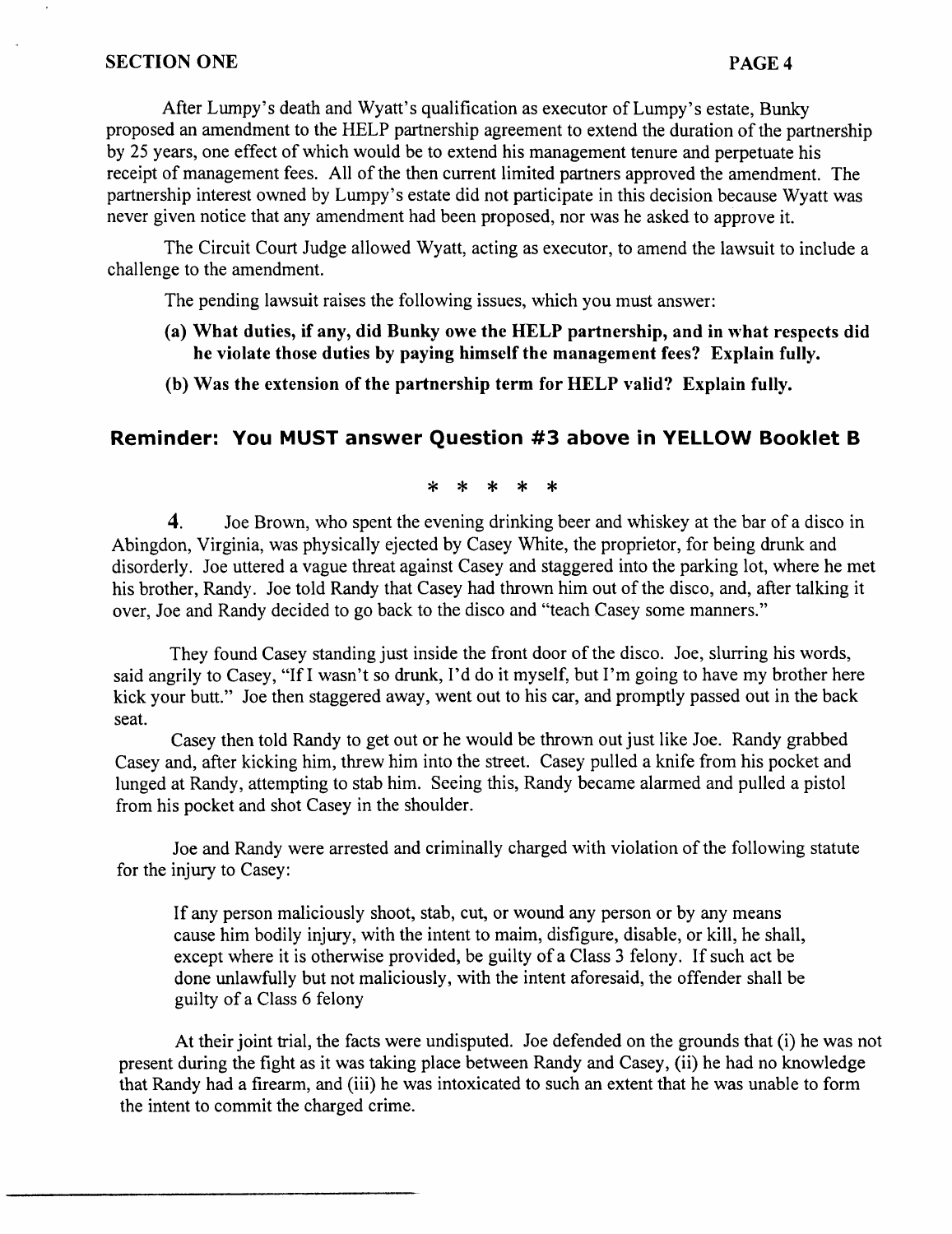After Lumpy's death and Wyatt's qualification as executor of Lumpy's estate, Bunky proposed an amendment to the HELP partnership agreement to extend the duration of the partnership by 25 years, one effect of which would be to extend his management tenure and perpetuate his receipt of management fees. All of the then current limited partners approved the amendment. The partnership interest owned by Lumpy's estate did not participate in this decision because Wyatt was never given notice that any amendment had been proposed, nor was he asked to approve it.

The Circuit Court Judge allowed Wyatt, acting as executor, to amend the lawsuit to include a challenge to the amendment.

The pending lawsuit raises the following issues, which you must answer:

- (a) What duties, if any, did Bunky owe the HELP partnership, and in what respects did he violate those duties by paying himself the management fees? Explain fully.
- (b) Was the extension of the partnership term for HELP valid? Explain fully.

# **Reminder: You MUST answer Question #3 above in YELLOW Booklet B**

#### \* \* \* \* \*

4. Joe Brown, who spent the evening drinking beer and whiskey at the bar of a disco in Abingdon, Virginia, was physically ejected by Casey White, the proprietor, for being drunk and disorderly. Joe uttered a vague threat against Casey and staggered into the parking lot, where he met his brother, Randy. Joe told Randy that Casey had thrown him out of the disco, and, after talking it over, Joe and Randy decided to go back to the disco and "teach Casey some manners."

They found Casey standing just inside the front door of the disco. Joe, slurring his words, said angrily to Casey, "If I wasn't so drunk, I'd do it myself, but I'm going to have my brother here kick your butt." Joe then staggered away, went out to his car, and promptly passed out in the back seat.

Casey then told Randy to get out or he would be thrown out just like Joe. Randy grabbed Casey and, after kicking him, threw him into the street. Casey pulled a knife from his pocket and lunged at Randy, attempting to stab him. Seeing this, Randy became alarmed and pulled a pistol from his pocket and shot Casey in the shoulder.

Joe and Randy were arrested and criminally charged with violation of the following statute for the injury to Casey:

If any person maliciously shoot, stab, cut, or wound any person or by any means cause him bodily injury, with the intent to maim, disfigure, disable, or kill, he shall, except where it is otherwise provided, be guilty of a Class 3 felony. If such act be done unlawfully but not maliciously, with the intent aforesaid, the offender shall be guilty of a Class 6 felony

At their joint trial, the facts were undisputed. Joe defended on the grounds that (i) he was not present during the fight as it was taking place between Randy and Casey, (ii) he had no knowledge that Randy had a firearm, and (iii) he was intoxicated to such an extent that he was unable to form the intent to commit the charged crime.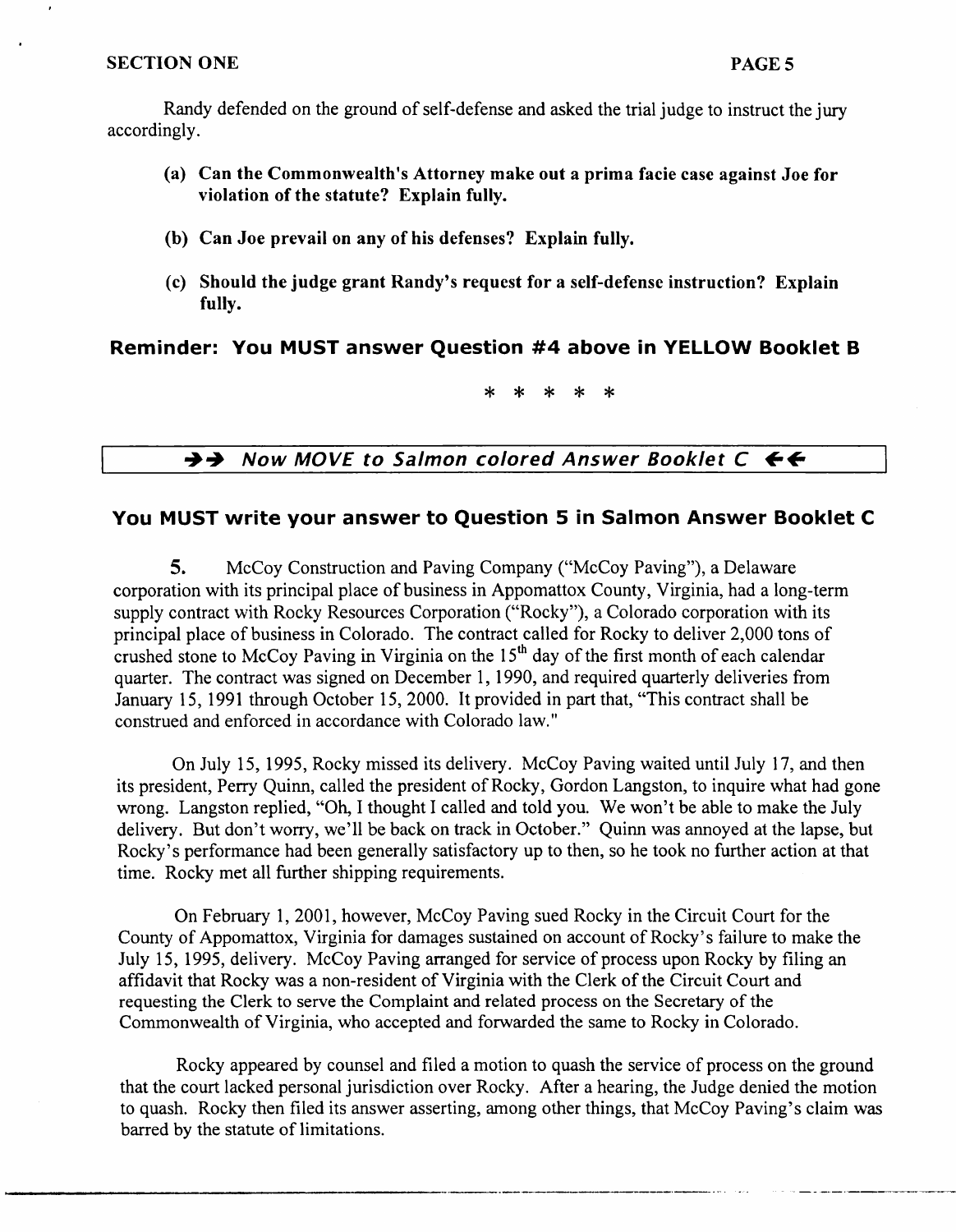Randy defended on the ground of self-defense and asked the trial judge to instruct the jury accordingly.

- (a) Can the Commonwealth's Attorney make out a prima facie case against Joe for violation of the statute? Explain fully.
- (b) Can Joe prevail on any of his defenses? Explain fully.
- (c) Should the judge grant Randy's request for a self-defense instruction? Explain fully.

# Reminder: You MUST answer Question #4 above in YELLOW Booklet B

\* \* \* \* \*

 $\rightarrow$  Now MOVE to Salmon colored Answer Booklet C  $\leftarrow$ 

#### You MUST write your answer to Question 5 in Salmon Answer Booklet C

5. McCoy Construction and Paving Company ("McCoy Paving"), a Delaware corporation with its principal place of business in Appomattox County, Virginia, had a long-term supply contract with Rocky Resources Corporation ("Rocky"), a Colorado corporation with its principal place of business in Colorado. The contract called for Rocky to deliver 2,000 tons of crushed stone to McCoy Paving in Virginia on the  $15<sup>th</sup>$  day of the first month of each calendar quarter. The contract was signed on December 1, 1990, and required quarterly deliveries from January 15, 1991 through October 15, 2000. It provided in part that, "This contract shall be construed and enforced in accordance with Colorado law."

On July 15, 1995, Rocky missed its delivery. McCoy Paving waited until July 17, and then its president, Perry Quinn, called the president of Rocky, Gordon Langston, to inquire what had gone wrong. Langston replied, "Oh, I thought I called and told you. We won't be able to make the July delivery. But don't worry, we'll be back on track in October." Quinn was annoyed at the lapse, but Rocky's performance had been generally satisfactory up to then, so he took no further action at that time. Rocky met all further shipping requirements.

On February 1, 2001, however, McCoy Paving sued Rocky in the Circuit Court for the County of Appomattox, Virginia for damages sustained on account of Rocky's failure to make the July 15, 1995, delivery. McCoy Paving arranged for service of process upon Rocky by filing an affidavit that Rocky was a non-resident of Virginia with the Clerk of the Circuit Court and requesting the Clerk to serve the Complaint and related process on the Secretary of the Commonwealth of Virginia, who accepted and forwarded the same to Rocky in Colorado.

Rocky appeared by counsel and filed a motion to quash the service of process on the ground that the court lacked personal jurisdiction over Rocky. After a hearing, the Judge denied the motion to quash. Rocky then filed its answer asserting, among other things, that McCoy Paving's claim was barred by the statute of limitations.